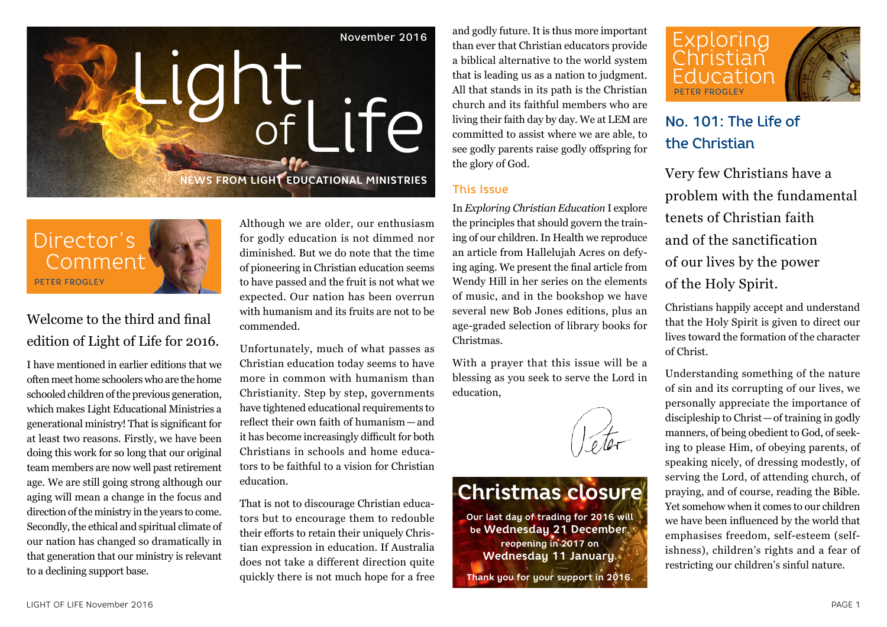



# Welcome to the third and final edition of Light of Life for 2016.

I have mentioned in earlier editions that we often meet home schoolers who are the home schooled children of the previous generation, which makes Light Educational Ministries a generational ministry! That is significant for at least two reasons. Firstly, we have been doing this work for so long that our original team members are now well past retirement age. We are still going strong although our aging will mean a change in the focus and direction of the ministry in the years to come. Secondly, the ethical and spiritual climate of our nation has changed so dramatically in that generation that our ministry is relevant to a declining support base.

Although we are older, our enthusiasm for godly education is not dimmed nor diminished. But we do note that the time of pioneering in Christian education seems to have passed and the fruit is not what we expected. Our nation has been overrun with humanism and its fruits are not to be commended.

Unfortunately, much of what passes as Christian education today seems to have more in common with humanism than Christianity. Step by step, governments have tightened educational requirements to reflect their own faith of humanism—and it has become increasingly difficult for both Christians in schools and home educators to be faithful to a vision for Christian education.

That is not to discourage Christian educators but to encourage them to redouble their efforts to retain their uniquely Christian expression in education. If Australia does not take a different direction quite quickly there is not much hope for a free and godly future. It is thus more important than ever that Christian educators provide a biblical alternative to the world system that is leading us as a nation to judgment. All that stands in its path is the Christian church and its faithful members who are living their faith day by day. We at LEM are committed to assist where we are able, to see godly parents raise godly offspring for the glory of God.

#### This Issue

In *Exploring Christian Education* I explore the principles that should govern the training of our children. In Health we reproduce an article from Hallelujah Acres on defying aging. We present the final article from Wendy Hill in her series on the elements of music, and in the bookshop we have several new Bob Jones editions, plus an age-graded selection of library books for Christmas.

With a prayer that this issue will be a blessing as you seek to serve the Lord in education,



# **Christmas closure**

**Our last day of trading for 2016 will be Wednesday 21 December, reopening in 2017 on Wednesday 11 January. Thank you for your support in 2016.**



# No. 101: The Life of the Christian

Very few Christians have a problem with the fundamental tenets of Christian faith and of the sanctification of our lives by the power of the Holy Spirit.

Christians happily accept and understand that the Holy Spirit is given to direct our lives toward the formation of the character of Christ.

Understanding something of the nature of sin and its corrupting of our lives, we personally appreciate the importance of discipleship to Christ—of training in godly manners, of being obedient to God, of seeking to please Him, of obeying parents, of speaking nicely, of dressing modestly, of serving the Lord, of attending church, of praying, and of course, reading the Bible. Yet somehow when it comes to our children we have been influenced by the world that emphasises freedom, self-esteem (selfishness), children's rights and a fear of restricting our children's sinful nature.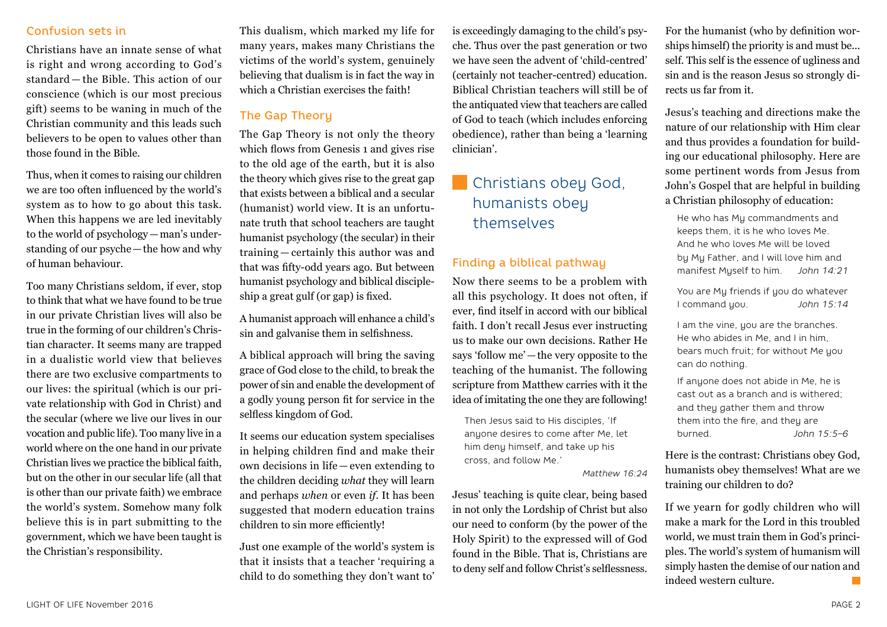#### Confusion sets in

Christians have an innate sense of what is right and wrong according to God's standard — the Bible. This action of our conscience (which is our most precious gift) seems to be waning in much of the Christian community and this leads such believers to be open to values other than those found in the Bible.

Thus, when it comes to raising our children we are too often influenced by the world's system as to how to go about this task. When this happens we are led inevitably to the world of psychology—man's understanding of our psyche—the how and why of human behaviour.

Too many Christians seldom, if ever, stop to think that what we have found to be true in our private Christian lives will also be true in the forming of our children's Christian character. It seems many are trapped in a dualistic world view that believes there are two exclusive compartments to our lives: the spiritual (which is our private relationship with God in Christ) and the secular (where we live our lives in our vocation and public life). Too many live in a world where on the one hand in our private Christian lives we practice the biblical faith, but on the other in our secular life (all that is other than our private faith) we embrace the world's system. Somehow many folk believe this is in part submitting to the government, which we have been taught is the Christian's responsibility.

This dualism, which marked my life for many years, makes many Christians the victims of the world's system, genuinely believing that dualism is in fact the way in which a Christian exercises the faith!

## The Gap Theoru

The Gap Theory is not only the theory which flows from Genesis 1 and gives rise to the old age of the earth, but it is also the theory which gives rise to the great gap that exists between a biblical and a secular (humanist) world view. It is an unfortunate truth that school teachers are taught humanist psychology (the secular) in their training — certainly this author was and that was fifty-odd years ago. But between humanist psychology and biblical discipleship a great gulf (or gap) is fixed.

A humanist approach will enhance a child's sin and galvanise them in selfishness.

A biblical approach will bring the saving grace of God close to the child, to break the power of sin and enable the development of a godly young person fit for service in the selfless kingdom of God.

It seems our education system specialises in helping children find and make their own decisions in life — even extending to the children deciding *what* they will learn and perhaps *when* or even *if*. It has been suggested that modern education trains children to sin more efficiently!

Just one example of the world's system is that it insists that a teacher 'requiring a child to do something they don't want to' is exceedingly damaging to the child's psyche. Thus over the past generation or two we have seen the advent of 'child-centred' (certainly not teacher-centred) education. Biblical Christian teachers will still be of the antiquated view that teachers are called of God to teach (which includes enforcing obedience), rather than being a 'learning clinician'.

# Christians obey God, humanists obey themselves

#### Finding a biblical pathway

Now there seems to be a problem with all this psychology. It does not often, if ever, find itself in accord with our biblical faith. I don't recall Jesus ever instructing us to make our own decisions. Rather He says 'follow me'—the very opposite to the teaching of the humanist. The following scripture from Matthew carries with it the idea of imitating the one they are following!

Then Jesus said to His disciples, 'If anyone desires to come after Me, let him deny himself, and take up his cross, and follow Me.'

#### *Matthew 16:24*

Jesus' teaching is quite clear, being based in not only the Lordship of Christ but also our need to conform (by the power of the Holy Spirit) to the expressed will of God found in the Bible. That is, Christians are to deny self and follow Christ's selflessness.

For the humanist (who by definition worships himself) the priority is and must be... self. This self is the essence of ugliness and sin and is the reason Jesus so strongly directs us far from it.

Jesus's teaching and directions make the nature of our relationship with Him clear and thus provides a foundation for building our educational philosophy. Here are some pertinent words from Jesus from John's Gospel that are helpful in building a Christian philosophy of education:

He who has My commandments and keeps them, it is he who loves Me. And he who loves Me will be loved by My Father, and I will love him and manifest Myself to him. *John 14:21*

You are My friends if you do whatever I command you. *John 15:14*

I am the vine, you are the branches. He who abides in Me, and I in him, bears much fruit; for without Me you can do nothing.

If anyone does not abide in Me, he is cast out as a branch and is withered; and they gather them and throw them into the fire, and they are burned. *John 15:5–6*

Here is the contrast: Christians obey God, humanists obey themselves! What are we training our children to do?

If we yearn for godly children who will make a mark for the Lord in this troubled world, we must train them in God's principles. The world's system of humanism will simply hasten the demise of our nation and indeed western culture.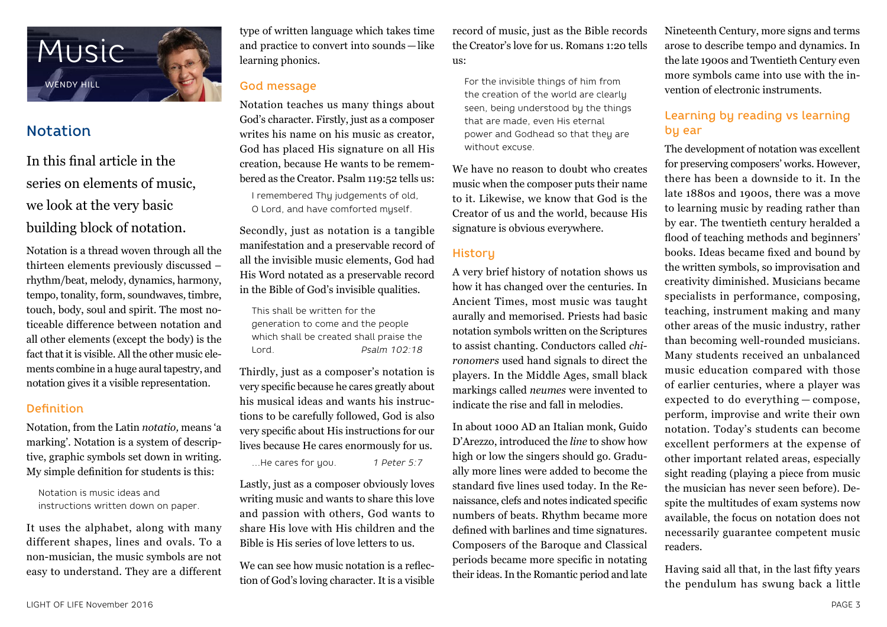

# Notation

In this final article in the series on elements of music, we look at the very basic building block of notation.

Notation is a thread woven through all the thirteen elements previously discussed – rhythm/beat, melody, dynamics, harmony, tempo, tonality, form, soundwaves, timbre, touch, body, soul and spirit. The most noticeable difference between notation and all other elements (except the body) is the fact that it is visible. All the other music elements combine in a huge aural tapestry, and notation gives it a visible representation.

#### Definition

Notation, from the Latin *notatio,* means 'a marking'. Notation is a system of descriptive, graphic symbols set down in writing. My simple definition for students is this:

Notation is music ideas and instructions written down on paper.

It uses the alphabet, along with many different shapes, lines and ovals. To a non-musician, the music symbols are not easy to understand. They are a different type of written language which takes time and practice to convert into sounds—like learning phonics.

## God message

Notation teaches us many things about God's character. Firstly, just as a composer writes his name on his music as creator, God has placed His signature on all His creation, because He wants to be remembered as the Creator. Psalm 119:52 tells us:

I remembered Thy judgements of old, O Lord, and have comforted myself.

Secondly, just as notation is a tangible manifestation and a preservable record of all the invisible music elements, God had His Word notated as a preservable record in the Bible of God's invisible qualities.

This shall be written for the generation to come and the people which shall be created shall praise the Lord. *Psalm 102:18*

Thirdly, just as a composer's notation is very specific because he cares greatly about his musical ideas and wants his instructions to be carefully followed, God is also very specific about His instructions for our lives because He cares enormously for us.

…He cares for you. *1 Peter 5:7*

Lastly, just as a composer obviously loves writing music and wants to share this love and passion with others, God wants to share His love with His children and the Bible is His series of love letters to us.

We can see how music notation is a reflection of God's loving character. It is a visible record of music, just as the Bible records the Creator's love for us. Romans 1:20 tells  $\overline{\mathbf{u}}$ 

For the invisible things of him from the creation of the world are clearly seen, being understood by the things that are made, even His eternal power and Godhead so that they are without excuse.

We have no reason to doubt who creates music when the composer puts their name to it. Likewise, we know that God is the Creator of us and the world, because His signature is obvious everywhere.

## **History**

A very brief history of notation shows us how it has changed over the centuries. In Ancient Times, most music was taught aurally and memorised. Priests had basic notation symbols written on the Scriptures to assist chanting. Conductors called *chironomers* used hand signals to direct the players. In the Middle Ages, small black markings called *neumes* were invented to indicate the rise and fall in melodies.

In about 1000 AD an Italian monk, Guido D'Arezzo, introduced the *line* to show how high or low the singers should go. Gradually more lines were added to become the standard five lines used today. In the Renaissance, clefs and notes indicated specific numbers of beats. Rhythm became more defined with barlines and time signatures. Composers of the Baroque and Classical periods became more specific in notating their ideas. In the Romantic period and late

Nineteenth Century, more signs and terms arose to describe tempo and dynamics. In the late 1900s and Twentieth Century even more symbols came into use with the invention of electronic instruments.

## Learning by reading vs learning by ear

The development of notation was excellent for preserving composers' works. However, there has been a downside to it. In the late 1880s and 1900s, there was a move to learning music by reading rather than by ear. The twentieth century heralded a flood of teaching methods and beginners' books. Ideas became fixed and bound by the written symbols, so improvisation and creativity diminished. Musicians became specialists in performance, composing, teaching, instrument making and many other areas of the music industry, rather than becoming well-rounded musicians. Many students received an unbalanced music education compared with those of earlier centuries, where a player was expected to do everything — compose, perform, improvise and write their own notation. Today's students can become excellent performers at the expense of other important related areas, especially sight reading (playing a piece from music the musician has never seen before). Despite the multitudes of exam systems now available, the focus on notation does not necessarily guarantee competent music readers.

Having said all that, in the last fifty years the pendulum has swung back a little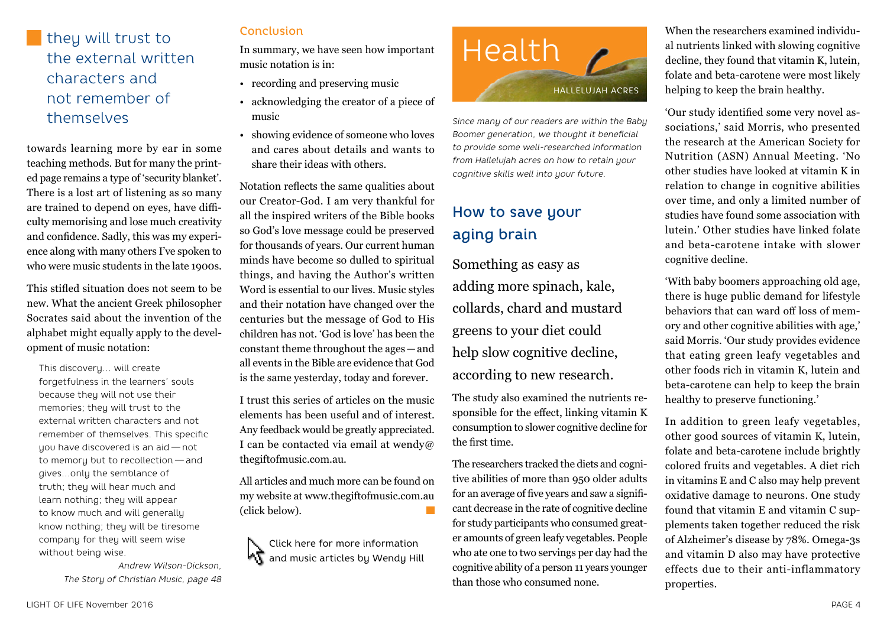# they will trust to the external written characters and not remember of themselves

towards learning more by ear in some teaching methods. But for many the printed page remains a type of 'security blanket'. There is a lost art of listening as so many are trained to depend on eyes, have difficulty memorising and lose much creativity and confidence. Sadly, this was my experience along with many others I've spoken to who were music students in the late 1900s.

This stifled situation does not seem to be new. What the ancient Greek philosopher Socrates said about the invention of the alphabet might equally apply to the development of music notation:

This discovery… will create forgetfulness in the learners' souls because they will not use their memories; they will trust to the external written characters and not remember of themselves. This specific you have discovered is an aid — not to memory but to recollection — and gives…only the semblance of truth; they will hear much and learn nothing; they will appear to know much and will generally know nothing; they will be tiresome company for they will seem wise without being wise.

> *Andrew Wilson-Dickson, The Story of Christian Music, page 48*

#### **Conclusion**

In summary, we have seen how important music notation is in:

- recording and preserving music
- acknowledging the creator of a piece of music
- showing evidence of someone who loves and cares about details and wants to share their ideas with others.

Notation reflects the same qualities about our Creator-God. I am very thankful for all the inspired writers of the Bible books so God's love message could be preserved for thousands of years. Our current human minds have become so dulled to spiritual things, and having the Author's written Word is essential to our lives. Music styles and their notation have changed over the centuries but the message of God to His children has not. 'God is love' has been the constant theme throughout the ages—and all events in the Bible are evidence that God is the same yesterday, today and forever.

I trust this series of articles on the music elements has been useful and of interest. Any feedback would be greatly appreciated. I can be contacted via email at wendy@ thegiftofmusic.com.au.

All articles and much more can be found on my website at www.thegiftofmusic.com.au (click below).





*Since many of our readers are within the Baby Boomer generation, we thought it beneficial to provide some well-researched information from Hallelujah acres on how to retain your cognitive skills well into your future.*

# How to save your aging brain

Something as easy as adding more spinach, kale, collards, chard and mustard greens to your diet could help slow cognitive decline, according to new research.

The study also examined the nutrients responsible for the effect, linking vitamin K consumption to slower cognitive decline for the first time.

The researchers tracked the diets and cognitive abilities of more than 950 older adults for an average of five years and saw a significant decrease in the rate of cognitive decline for study participants who consumed greater amounts of green leafy vegetables. People who ate one to two servings per day had the cognitive ability of a person 11 years younger than those who consumed none.

When the researchers examined individual nutrients linked with slowing cognitive decline, they found that vitamin K, lutein, folate and beta-carotene were most likely helping to keep the brain healthy.

'Our study identified some very novel associations,' said Morris, who presented the research at the American Society for Nutrition (ASN) Annual Meeting. 'No other studies have looked at vitamin K in relation to change in cognitive abilities over time, and only a limited number of studies have found some association with lutein.' Other studies have linked folate and beta-carotene intake with slower cognitive decline.

'With baby boomers approaching old age, there is huge public demand for lifestyle behaviors that can ward off loss of memory and other cognitive abilities with age,' said Morris. 'Our study provides evidence that eating green leafy vegetables and other foods rich in vitamin K, lutein and beta-carotene can help to keep the brain healthy to preserve functioning.'

In addition to green leafy vegetables, other good sources of vitamin K, lutein, folate and beta-carotene include brightly colored fruits and vegetables. A diet rich in vitamins E and C also may help prevent oxidative damage to neurons. One study found that vitamin E and vitamin C supplements taken together reduced the risk of Alzheimer's disease by 78%. Omega-3s and vitamin D also may have protective effects due to their anti-inflammatory properties.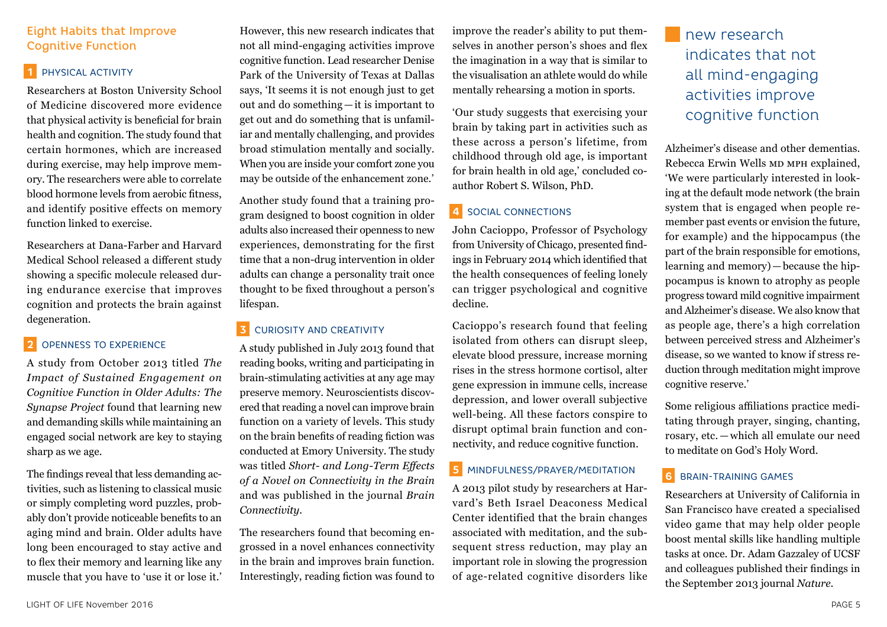#### Eight Habits that Improve Cognitive Function

#### **1** PHYSICAL ACTIVITY

Researchers at Boston University School of Medicine discovered more evidence that physical activity is beneficial for brain health and cognition. The study found that certain hormones, which are increased during exercise, may help improve memory. The researchers were able to correlate blood hormone levels from aerobic fitness, and identify positive effects on memory function linked to exercise.

Researchers at Dana-Farber and Harvard Medical School released a different study showing a specific molecule released during endurance exercise that improves cognition and protects the brain against degeneration.

#### **2** OPENNESS TO EXPERIENCE

A study from October 2013 titled *The Impact of Sustained Engagement on Cognitive Function in Older Adults: The Synapse Project* found that learning new and demanding skills while maintaining an engaged social network are key to staying sharp as we age.

The findings reveal that less demanding activities, such as listening to classical music or simply completing word puzzles, probably don't provide noticeable benefits to an aging mind and brain. Older adults have long been encouraged to stay active and to flex their memory and learning like any muscle that you have to 'use it or lose it.'

However, this new research indicates that not all mind-engaging activities improve cognitive function. Lead researcher Denise Park of the University of Texas at Dallas says, 'It seems it is not enough just to get out and do something—it is important to get out and do something that is unfamiliar and mentally challenging, and provides broad stimulation mentally and socially. When you are inside your comfort zone you may be outside of the enhancement zone.'

Another study found that a training program designed to boost cognition in older adults also increased their openness to new experiences, demonstrating for the first time that a non-drug intervention in older adults can change a personality trait once thought to be fixed throughout a person's lifespan.

#### **3** CURIOSITY AND CREATIVITY

A study published in July 2013 found that reading books, writing and participating in brain-stimulating activities at any age may preserve memory. Neuroscientists discovered that reading a novel can improve brain function on a variety of levels. This study on the brain benefits of reading fiction was conducted at Emory University. The study was titled *Short- and Long-Term Effects of a Novel on Connectivity in the Brain* and was published in the journal *Brain Connectivity*.

The researchers found that becoming engrossed in a novel enhances connectivity in the brain and improves brain function. Interestingly, reading fiction was found to

improve the reader's ability to put themselves in another person's shoes and flex the imagination in a way that is similar to the visualisation an athlete would do while mentally rehearsing a motion in sports.

'Our study suggests that exercising your brain by taking part in activities such as these across a person's lifetime, from childhood through old age, is important for brain health in old age,' concluded coauthor Robert S. Wilson, PhD.

### **4** SOCIAL CONNECTIONS

John Cacioppo, Professor of Psychology from University of Chicago, presented findings in February 2014 which identified that the health consequences of feeling lonely can trigger psychological and cognitive decline.

Cacioppo's research found that feeling isolated from others can disrupt sleep, elevate blood pressure, increase morning rises in the stress hormone cortisol, alter gene expression in immune cells, increase depression, and lower overall subjective well-being. All these factors conspire to disrupt optimal brain function and connectivity, and reduce cognitive function.

#### **5** MINDFULNESS/PRAYER/MEDITATION

A 2013 pilot study by researchers at Harvard's Beth Israel Deaconess Medical Center identified that the brain changes associated with meditation, and the subsequent stress reduction, may play an important role in slowing the progression of age-related cognitive disorders like

new research indicates that not all mind-engaging activities improve cognitive function

Alzheimer's disease and other dementias. Rebecca Erwin Wells MD MPH explained, 'We were particularly interested in looking at the default mode network (the brain system that is engaged when people remember past events or envision the future, for example) and the hippocampus (the part of the brain responsible for emotions, learning and memory)—because the hippocampus is known to atrophy as people progress toward mild cognitive impairment and Alzheimer's disease. We also know that as people age, there's a high correlation between perceived stress and Alzheimer's disease, so we wanted to know if stress reduction through meditation might improve cognitive reserve.'

Some religious affiliations practice meditating through prayer, singing, chanting, rosary, etc. — which all emulate our need to meditate on God's Holy Word.

### **6** BRAIN-TRAINING GAMES

Researchers at University of California in San Francisco have created a specialised video game that may help older people boost mental skills like handling multiple tasks at once. Dr. Adam Gazzaley of UCSF and colleagues published their findings in the September 2013 journal *Nature*.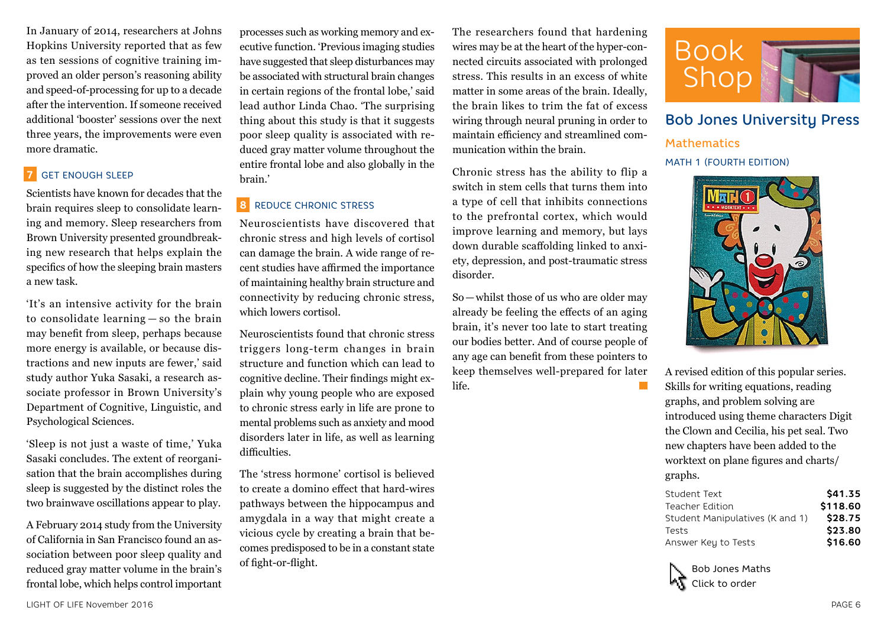In January of 2014, researchers at Johns Hopkins University reported that as few as ten sessions of cognitive training improved an older person's reasoning ability and speed-of-processing for up to a decade after the intervention. If someone received additional 'booster' sessions over the next three years, the improvements were even more dramatic.

## **7** GET ENOUGH SLEEP

Scientists have known for decades that the brain requires sleep to consolidate learning and memory. Sleep researchers from Brown University presented groundbreaking new research that helps explain the specifics of how the sleeping brain masters a new task.

'It's an intensive activity for the brain to consolidate learning — so the brain may benefit from sleep, perhaps because more energy is available, or because distractions and new inputs are fewer,' said study author Yuka Sasaki, a research associate professor in Brown University's Department of Cognitive, Linguistic, and Psychological Sciences.

'Sleep is not just a waste of time,' Yuka Sasaki concludes. The extent of reorganisation that the brain accomplishes during sleep is suggested by the distinct roles the two brainwave oscillations appear to play.

A February 2014 study from the University of California in San Francisco found an association between poor sleep quality and reduced gray matter volume in the brain's frontal lobe, which helps control important

processes such as working memory and executive function. 'Previous imaging studies have suggested that sleep disturbances may be associated with structural brain changes in certain regions of the frontal lobe,' said lead author Linda Chao. 'The surprising thing about this study is that it suggests poor sleep quality is associated with reduced gray matter volume throughout the entire frontal lobe and also globally in the brain.'

## **8** REDUCE CHRONIC STRESS

Neuroscientists have discovered that chronic stress and high levels of cortisol can damage the brain. A wide range of recent studies have affirmed the importance of maintaining healthy brain structure and connectivity by reducing chronic stress, which lowers cortisol.

Neuroscientists found that chronic stress triggers long-term changes in brain structure and function which can lead to cognitive decline. Their findings might explain why young people who are exposed to chronic stress early in life are prone to mental problems such as anxiety and mood disorders later in life, as well as learning difficulties.

The 'stress hormone' cortisol is believed to create a domino effect that hard-wires pathways between the hippocampus and amygdala in a way that might create a vicious cycle by creating a brain that becomes predisposed to be in a constant state of fight-or-flight.

The researchers found that hardening wires may be at the heart of the hyper-connected circuits associated with prolonged stress. This results in an excess of white matter in some areas of the brain. Ideally, the brain likes to trim the fat of excess wiring through neural pruning in order to maintain efficiency and streamlined communication within the brain.

Chronic stress has the ability to flip a switch in stem cells that turns them into a type of cell that inhibits connections to the prefrontal cortex, which would improve learning and memory, but lays down durable scaffolding linked to anxiety, depression, and post-traumatic stress disorder.

So—whilst those of us who are older may already be feeling the effects of an aging brain, it's never too late to start treating our bodies better. And of course people of any age can benefit from these pointers to keep themselves well-prepared for later life.  $\mathcal{L}^{\text{max}}$ 



## Bob Jones University Press

**Mathematics** MATH 1 (FOURTH EDITION)



A revised edition of this popular series. Skills for writing equations, reading graphs, and problem solving are introduced using theme characters Digit the Clown and Cecilia, his pet seal. Two new chapters have been added to the worktext on plane figures and charts/ graphs.

| Student Text                    | \$41.35  |
|---------------------------------|----------|
| Teacher Edition                 | \$118.60 |
| Student Manipulatives (K and 1) | \$28.75  |
| Tests                           | \$23.80  |
| Answer Key to Tests             | \$16.60  |

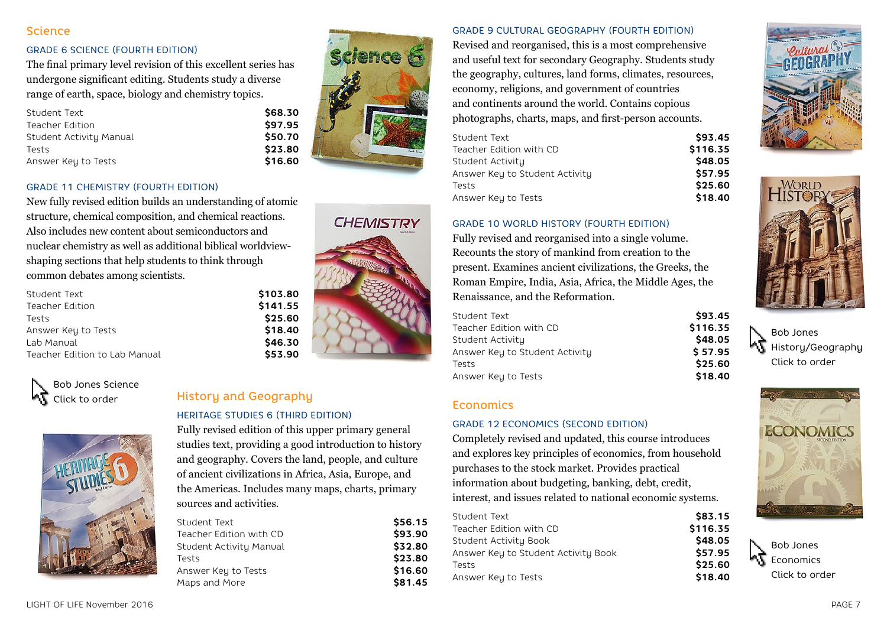#### **Science**

#### GRADE 6 SCIENCE (FOURTH EDITION)

The final primary level revision of this excellent series has undergone significant editing. Students study a diverse range of earth, space, biology and chemistry topics.

| Student Text            | \$68.30 |
|-------------------------|---------|
| Teacher Edition         | \$97.95 |
| Student Activity Manual | \$50.70 |
| Tests                   | \$23.80 |
| Answer Key to Tests     | \$16.60 |



**CHEMISTRY** 

#### GRADE 11 CHEMISTRY (FOURTH EDITION)

New fully revised edition builds an understanding of atomic structure, chemical composition, and chemical reactions. Also includes new content about semiconductors and nuclear chemistry as well as additional biblical worldviewshaping sections that help students to think through common debates among scientists.

| Student Text                  | \$103.80 |
|-------------------------------|----------|
| Teacher Edition               | \$141.55 |
| Tests                         | \$25.60  |
| Answer Key to Tests           | \$18.40  |
| Lab Manual                    | \$46.30  |
| Teacher Edition to Lab Manual | \$53.90  |
|                               |          |

Bob Jones Science Click to order



# History and Geography

#### HERITAGE STUDIES 6 (THIRD EDITION)

Fully revised edition of this upper primary general studies text, providing a good introduction to history and geography. Covers the land, people, and culture of ancient civilizations in Africa, Asia, Europe, and the Americas. Includes many maps, charts, primary sources and activities.

| Student Text            | \$56.15 |
|-------------------------|---------|
| Teacher Edition with CD | \$93.90 |
| Student Activity Manual | \$32.80 |
| Tests                   | \$23.80 |
| Answer Key to Tests     | \$16.60 |
| Maps and More           | \$81.45 |

GRADE 9 CULTURAL GEOGRAPHY (FOURTH EDITION)

Revised and reorganised, this is a most comprehensive and useful text for secondary Geography. Students study the geography, cultures, land forms, climates, resources, economy, religions, and government of countries and continents around the world. Contains copious photographs, charts, maps, and first-person accounts.

| Student Text                   | \$93.45  |
|--------------------------------|----------|
| Teacher Edition with CD        | \$116.35 |
| Student Activity               | \$48.05  |
| Answer Key to Student Activity | \$57.95  |
| Tests                          | \$25.60  |
| Answer Key to Tests            | \$18.40  |
|                                |          |

#### GRADE 10 WORLD HISTORY (FOURTH EDITION)

Fully revised and reorganised into a single volume. Recounts the story of mankind from creation to the present. Examines ancient civilizations, the Greeks, the Roman Empire, India, Asia, Africa, the Middle Ages, the Renaissance, and the Reformation.

| Student Text                   | \$93.45  |
|--------------------------------|----------|
| Teacher Edition with CD        | \$116.35 |
| Student Activity               | \$48.05  |
| Answer Key to Student Activity | \$57.95  |
| Tests                          | \$25.60  |
| Answer Key to Tests            | \$18.40  |

### **Economics**

#### GRADE 12 ECONOMICS (SECOND EDITION)

Completely revised and updated, this course introduces and explores key principles of economics, from household purchases to the stock market. Provides practical information about budgeting, banking, debt, credit, interest, and issues related to national economic systems.

| Student Text                         | \$83.15  |
|--------------------------------------|----------|
| Teacher Edition with CD              | \$116.35 |
| Student Activity Book                | \$48.05  |
| Answer Key to Student Activity Book. | \$57.95  |
| Tests                                | \$25.60  |
| Answer Key to Tests                  | \$18.40  |
|                                      |          |





Bob Jones History/Geography Click to order



Bob Jones Economics Click to order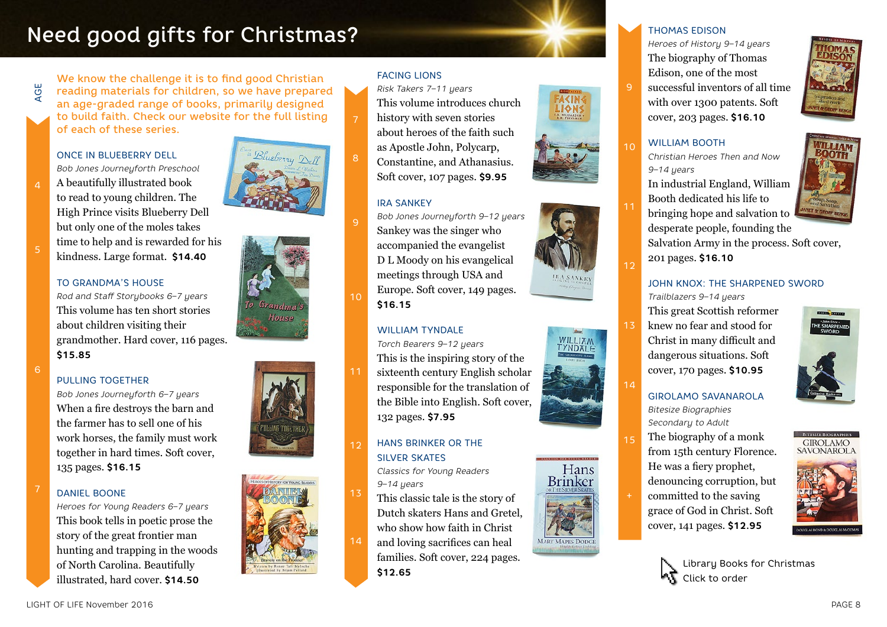# Need good gifts for Christmas?

We know the challenge it is to find good Christian reading materials for children, so we have prepared an age-graded range of books, primarily designed to build faith. Check our website for the full listing of each of these series.

## ONCE IN BLUEBERRY DELL *Bob Jones Journeyforth Preschool*

AGE

5

A beautifully illustrated book to read to young children. The High Prince visits Blueberry Dell but only one of the moles takes time to help and is rewarded for his kindness. Large format. **\$14.40**

#### TO GRANDMA'S HOUSE

*Rod and Staff Storybooks 6–7 years*  This volume has ten short stories about children visiting their grandmother. Hard cover, 116 pages. **\$15.85**

 $\overline{6}$ 

#### PULLING TOGETHER

*Bob Jones Journeyforth 6–7 years* When a fire destroys the barn and the farmer has to sell one of his work horses, the family must work together in hard times. Soft cover, 135 pages. **\$16.15**

#### DANIEL BOONE 7

*Heroes for Young Readers 6–7 years* This book tells in poetic prose the story of the great frontier man hunting and trapping in the woods of North Carolina. Beautifully illustrated, hard cover. **\$14.50**









#### FACING LIONS

*Risk Takers 7–11 years*

- This volume introduces church
- history with seven stories about heroes of the faith such as Apostle John, Polycarp, Constantine, and Athanasius. Soft cover, 107 pages. **\$9.95**

#### IRA SANKEY

*Bob Jones Journeyforth 9–12 years* Sankey was the singer who accompanied the evangelist D L Moody on his evangelical meetings through USA and Europe. Soft cover, 149 pages. **\$16.15**

#### WILLIAM TYNDALE

*Torch Bearers 9–12 years* This is the inspiring story of the sixteenth century English scholar responsible for the translation of the Bible into English. Soft cover, 132 pages. **\$7.95**

#### HANS BRINKER OR THE SILVER SKATES 12

*Classics for Young Readers 9–14 years*

This classic tale is the story of Dutch skaters Hans and Gretel, who show how faith in Christ and loving sacrifices can heal families. Soft cover, 224 pages. **\$12.65**









#### THOMAS EDISON

*Heroes of History 9–14 years* The biography of Thomas Edison, one of the most successful inventors of all time with over 1300 patents. Soft cover, 203 pages. **\$16.10**

#### WILLIAM BOOTH

9

 $1<sub>0</sub>$ 

11

1ว

13

14

15

*Christian Heroes Then and Now 9–14 years*

In industrial England, William Booth dedicated his life to

bringing hope and salvation to desperate people, founding the

Salvation Army in the process. Soft cover, 201 pages. **\$16.10**

## JOHN KNOX: THE SHARPENED SWORD

*Trailblazers 9–14 years* This great Scottish reformer knew no fear and stood for Christ in many difficult and dangerous situations. Soft cover, 170 pages. **\$10.95**

#### GIROLAMO SAVANAROLA *Bitesize Biographies Secondary to Adult*

The biography of a monk from 15th century Florence. He was a fiery prophet, denouncing corruption, but committed to the saving grace of God in Christ. Soft cover, 141 pages. **\$12.95**









10

7

9

13

14